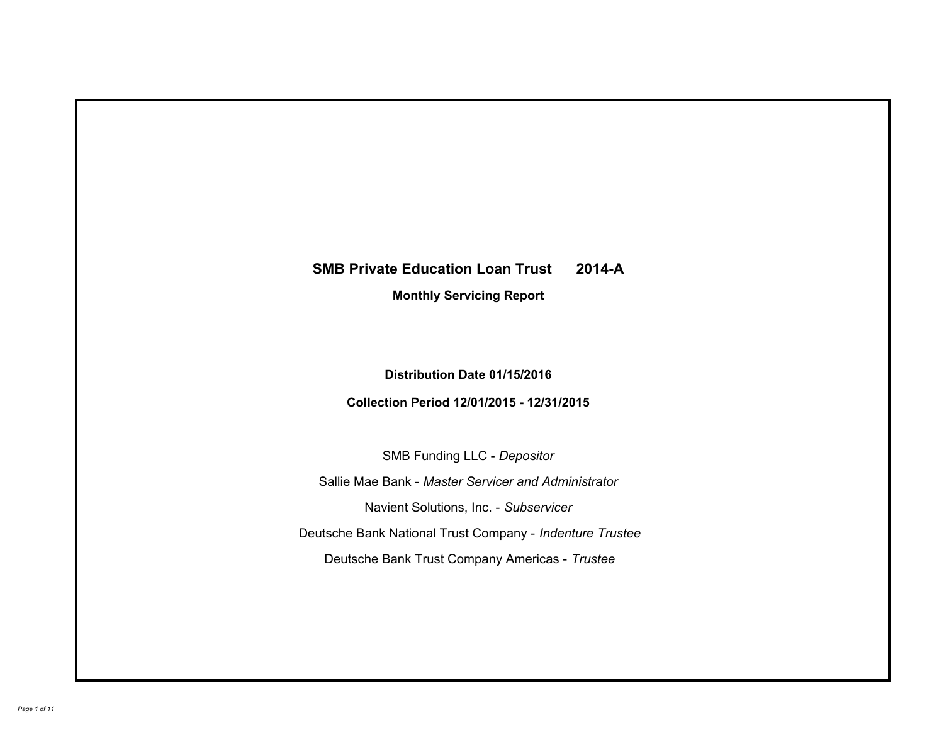# **SMB Private Education Loan Trust 2014-A Monthly Servicing Report**

# **Distribution Date 01/15/2016**

# **Collection Period 12/01/2015 - 12/31/2015**

SMB Funding LLC - *Depositor*

Sallie Mae Bank - *Master Servicer and Administrator*

Navient Solutions, Inc. - *Subservicer*

Deutsche Bank National Trust Company - *Indenture Trustee*

Deutsche Bank Trust Company Americas - *Trustee*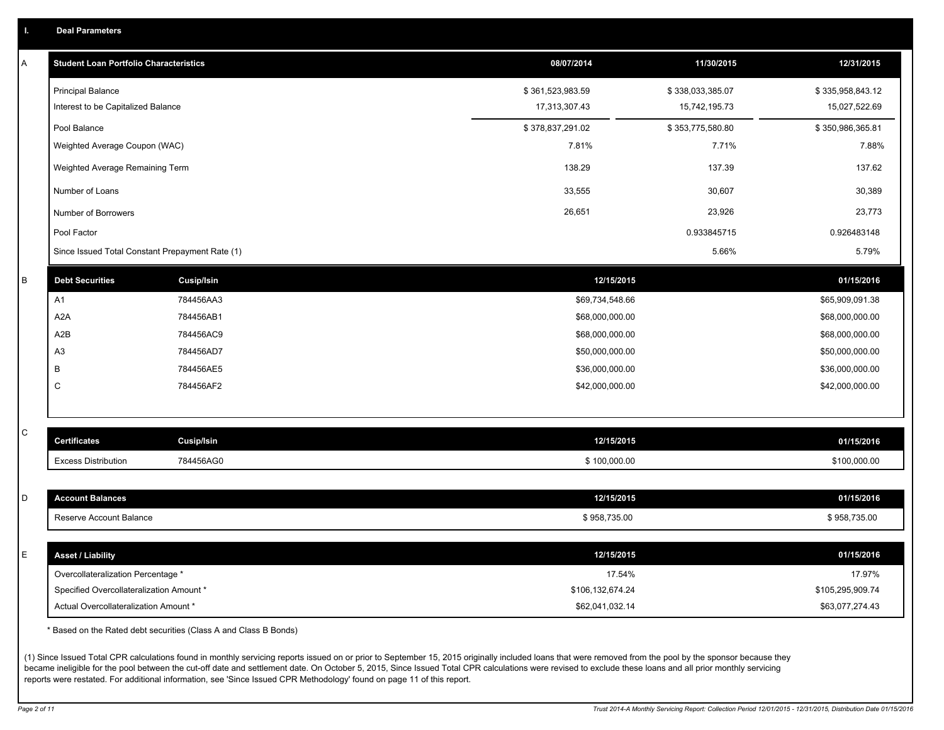|  |  |  | <b>Deal Parameters</b> |  |
|--|--|--|------------------------|--|
|--|--|--|------------------------|--|

| Α            | <b>Student Loan Portfolio Characteristics</b>                                     |                   | 08/07/2014                          | 11/30/2015       | 12/31/2015                          |
|--------------|-----------------------------------------------------------------------------------|-------------------|-------------------------------------|------------------|-------------------------------------|
|              | <b>Principal Balance</b>                                                          |                   | \$361,523,983.59                    | \$338,033,385.07 | \$335,958,843.12                    |
|              | Interest to be Capitalized Balance                                                |                   | 17,313,307.43                       | 15,742,195.73    | 15,027,522.69                       |
|              | Pool Balance                                                                      |                   | \$378,837,291.02                    | \$353,775,580.80 | \$350,986,365.81                    |
|              | Weighted Average Coupon (WAC)                                                     |                   | 7.81%                               | 7.71%            | 7.88%                               |
|              | Weighted Average Remaining Term                                                   |                   | 138.29                              | 137.39           | 137.62                              |
|              | Number of Loans                                                                   |                   | 33,555                              | 30,607           | 30,389                              |
|              | Number of Borrowers                                                               |                   | 26,651                              | 23,926           | 23,773                              |
|              | Pool Factor                                                                       |                   |                                     | 0.933845715      | 0.926483148                         |
|              | Since Issued Total Constant Prepayment Rate (1)                                   |                   |                                     | 5.66%            | 5.79%                               |
| B            | <b>Debt Securities</b>                                                            | <b>Cusip/Isin</b> | 12/15/2015                          |                  | 01/15/2016                          |
|              | A1                                                                                | 784456AA3         | \$69,734,548.66                     |                  | \$65,909,091.38                     |
|              | A <sub>2</sub> A                                                                  | 784456AB1         | \$68,000,000.00                     |                  | \$68,000,000.00                     |
|              | A <sub>2</sub> B                                                                  | 784456AC9         | \$68,000,000.00                     |                  | \$68,000,000.00                     |
|              | A <sub>3</sub>                                                                    | 784456AD7         | \$50,000,000.00                     |                  | \$50,000,000.00                     |
|              | B                                                                                 | 784456AE5         | \$36,000,000.00                     |                  | \$36,000,000.00                     |
|              | C                                                                                 | 784456AF2         | \$42,000,000.00                     |                  | \$42,000,000.00                     |
|              |                                                                                   |                   |                                     |                  |                                     |
| $\mathsf{C}$ | <b>Certificates</b>                                                               | Cusip/Isin        | 12/15/2015                          |                  | 01/15/2016                          |
|              | <b>Excess Distribution</b>                                                        | 784456AG0         | \$100,000.00                        |                  | \$100,000.00                        |
|              |                                                                                   |                   |                                     |                  |                                     |
| D            | <b>Account Balances</b>                                                           |                   | 12/15/2015                          |                  | 01/15/2016                          |
|              | Reserve Account Balance                                                           |                   | \$958,735.00                        |                  | \$958,735.00                        |
|              |                                                                                   |                   |                                     |                  |                                     |
| E            | <b>Asset / Liability</b>                                                          |                   | 12/15/2015                          |                  | 01/15/2016                          |
|              | Overcollateralization Percentage *                                                |                   |                                     | 17.54%           | 17.97%                              |
|              | Specified Overcollateralization Amount *<br>Actual Overcollateralization Amount * |                   | \$106,132,674.24<br>\$62,041,032.14 |                  | \$105,295,909.74<br>\$63,077,274.43 |
|              |                                                                                   |                   |                                     |                  |                                     |

\* Based on the Rated debt securities (Class A and Class B Bonds)

(1) Since Issued Total CPR calculations found in monthly servicing reports issued on or prior to September 15, 2015 originally included loans that were removed from the pool by the sponsor because they became ineligible for the pool between the cut-off date and settlement date. On October 5, 2015, Since Issued Total CPR calculations were revised to exclude these loans and all prior monthly servicing reports were restated. For additional information, see 'Since Issued CPR Methodology' found on page 11 of this report.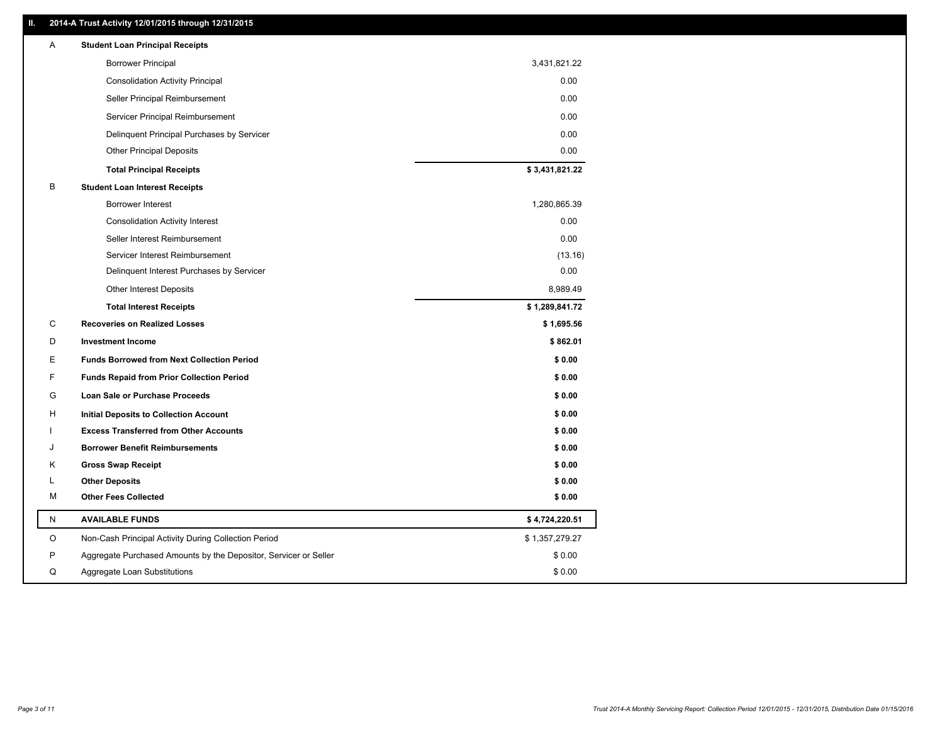### **II. 2014-A Trust Activity 12/01/2015 through 12/31/2015**

| A | <b>Student Loan Principal Receipts</b>                           |                |  |
|---|------------------------------------------------------------------|----------------|--|
|   | <b>Borrower Principal</b>                                        | 3,431,821.22   |  |
|   | <b>Consolidation Activity Principal</b>                          | 0.00           |  |
|   | Seller Principal Reimbursement                                   | 0.00           |  |
|   | Servicer Principal Reimbursement                                 | 0.00           |  |
|   | Delinquent Principal Purchases by Servicer                       | 0.00           |  |
|   | <b>Other Principal Deposits</b>                                  | 0.00           |  |
|   | <b>Total Principal Receipts</b>                                  | \$3,431,821.22 |  |
| В | <b>Student Loan Interest Receipts</b>                            |                |  |
|   | <b>Borrower Interest</b>                                         | 1,280,865.39   |  |
|   | <b>Consolidation Activity Interest</b>                           | 0.00           |  |
|   | Seller Interest Reimbursement                                    | 0.00           |  |
|   | Servicer Interest Reimbursement                                  | (13.16)        |  |
|   | Delinquent Interest Purchases by Servicer                        | 0.00           |  |
|   | <b>Other Interest Deposits</b>                                   | 8,989.49       |  |
|   | <b>Total Interest Receipts</b>                                   | \$1,289,841.72 |  |
| С | <b>Recoveries on Realized Losses</b>                             | \$1,695.56     |  |
| D | <b>Investment Income</b>                                         | \$862.01       |  |
| E | <b>Funds Borrowed from Next Collection Period</b>                | \$0.00         |  |
| F | <b>Funds Repaid from Prior Collection Period</b>                 | \$0.00         |  |
| G | Loan Sale or Purchase Proceeds                                   | \$0.00         |  |
| н | <b>Initial Deposits to Collection Account</b>                    | \$0.00         |  |
|   | <b>Excess Transferred from Other Accounts</b>                    | \$0.00         |  |
| J | <b>Borrower Benefit Reimbursements</b>                           | \$0.00         |  |
| Κ | <b>Gross Swap Receipt</b>                                        | \$0.00         |  |
| L | <b>Other Deposits</b>                                            | \$0.00         |  |
| М | <b>Other Fees Collected</b>                                      | \$0.00         |  |
| N | <b>AVAILABLE FUNDS</b>                                           | \$4,724,220.51 |  |
| O | Non-Cash Principal Activity During Collection Period             | \$1,357,279.27 |  |
| P | Aggregate Purchased Amounts by the Depositor, Servicer or Seller | \$0.00         |  |
| Q | Aggregate Loan Substitutions                                     | \$0.00         |  |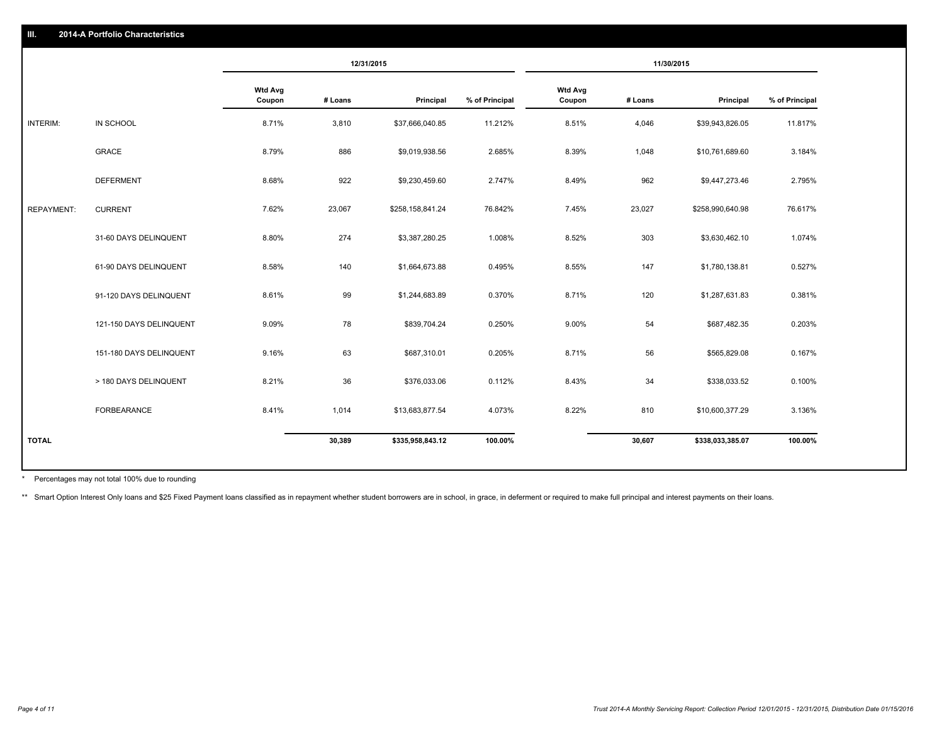|                   |                         | 12/31/2015               |         | 11/30/2015       |                |                          |         |                  |                |
|-------------------|-------------------------|--------------------------|---------|------------------|----------------|--------------------------|---------|------------------|----------------|
|                   |                         | <b>Wtd Avg</b><br>Coupon | # Loans | Principal        | % of Principal | <b>Wtd Avg</b><br>Coupon | # Loans | Principal        | % of Principal |
| INTERIM:          | IN SCHOOL               | 8.71%                    | 3,810   | \$37,666,040.85  | 11.212%        | 8.51%                    | 4,046   | \$39,943,826.05  | 11.817%        |
|                   | GRACE                   | 8.79%                    | 886     | \$9,019,938.56   | 2.685%         | 8.39%                    | 1,048   | \$10,761,689.60  | 3.184%         |
|                   | <b>DEFERMENT</b>        | 8.68%                    | 922     | \$9,230,459.60   | 2.747%         | 8.49%                    | 962     | \$9,447,273.46   | 2.795%         |
| <b>REPAYMENT:</b> | <b>CURRENT</b>          | 7.62%                    | 23,067  | \$258,158,841.24 | 76.842%        | 7.45%                    | 23,027  | \$258,990,640.98 | 76.617%        |
|                   | 31-60 DAYS DELINQUENT   | 8.80%                    | 274     | \$3,387,280.25   | 1.008%         | 8.52%                    | 303     | \$3,630,462.10   | 1.074%         |
|                   | 61-90 DAYS DELINQUENT   | 8.58%                    | 140     | \$1,664,673.88   | 0.495%         | 8.55%                    | 147     | \$1,780,138.81   | 0.527%         |
|                   | 91-120 DAYS DELINQUENT  | 8.61%                    | 99      | \$1,244,683.89   | 0.370%         | 8.71%                    | 120     | \$1,287,631.83   | 0.381%         |
|                   | 121-150 DAYS DELINQUENT | 9.09%                    | 78      | \$839,704.24     | 0.250%         | 9.00%                    | 54      | \$687,482.35     | 0.203%         |
|                   | 151-180 DAYS DELINQUENT | 9.16%                    | 63      | \$687,310.01     | 0.205%         | 8.71%                    | 56      | \$565,829.08     | 0.167%         |
|                   | > 180 DAYS DELINQUENT   | 8.21%                    | 36      | \$376,033.06     | 0.112%         | 8.43%                    | 34      | \$338,033.52     | 0.100%         |
|                   | FORBEARANCE             | 8.41%                    | 1,014   | \$13,683,877.54  | 4.073%         | 8.22%                    | 810     | \$10,600,377.29  | 3.136%         |
| <b>TOTAL</b>      |                         |                          | 30,389  | \$335,958,843.12 | 100.00%        |                          | 30,607  | \$338,033,385.07 | 100.00%        |

Percentages may not total 100% due to rounding \*

\*\* Smart Option Interest Only loans and \$25 Fixed Payment loans classified as in repayment whether student borrowers are in school, in grace, in deferment or required to make full principal and interest payments on their l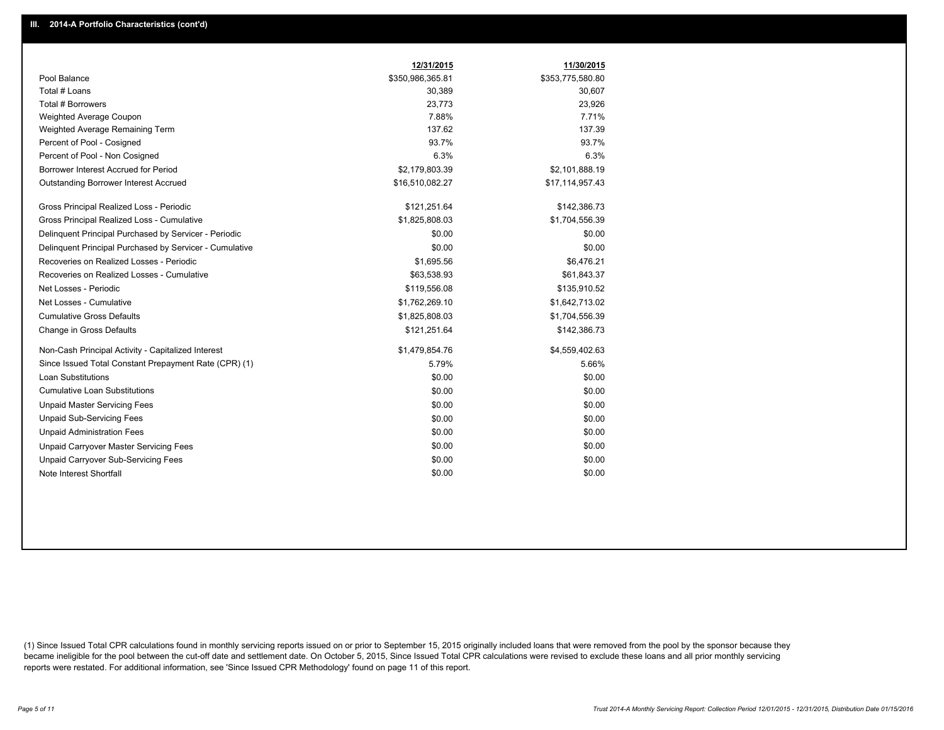|                                                         | 12/31/2015       | 11/30/2015       |
|---------------------------------------------------------|------------------|------------------|
| Pool Balance                                            | \$350,986,365.81 | \$353,775,580.80 |
| Total # Loans                                           | 30,389           | 30,607           |
| Total # Borrowers                                       | 23,773           | 23,926           |
| Weighted Average Coupon                                 | 7.88%            | 7.71%            |
| Weighted Average Remaining Term                         | 137.62           | 137.39           |
| Percent of Pool - Cosigned                              | 93.7%            | 93.7%            |
| Percent of Pool - Non Cosigned                          | 6.3%             | 6.3%             |
| Borrower Interest Accrued for Period                    | \$2,179,803.39   | \$2,101,888.19   |
| Outstanding Borrower Interest Accrued                   | \$16,510,082.27  | \$17,114,957.43  |
| Gross Principal Realized Loss - Periodic                | \$121,251.64     | \$142,386.73     |
| Gross Principal Realized Loss - Cumulative              | \$1,825,808.03   | \$1,704,556.39   |
| Delinquent Principal Purchased by Servicer - Periodic   | \$0.00           | \$0.00           |
| Delinguent Principal Purchased by Servicer - Cumulative | \$0.00           | \$0.00           |
| Recoveries on Realized Losses - Periodic                | \$1,695.56       | \$6,476.21       |
| Recoveries on Realized Losses - Cumulative              | \$63,538.93      | \$61,843.37      |
| Net Losses - Periodic                                   | \$119,556.08     | \$135,910.52     |
| Net Losses - Cumulative                                 | \$1,762,269.10   | \$1,642,713.02   |
| <b>Cumulative Gross Defaults</b>                        | \$1,825,808.03   | \$1,704,556.39   |
| Change in Gross Defaults                                | \$121,251.64     | \$142,386.73     |
| Non-Cash Principal Activity - Capitalized Interest      | \$1,479,854.76   | \$4,559,402.63   |
| Since Issued Total Constant Prepayment Rate (CPR) (1)   | 5.79%            | 5.66%            |
| <b>Loan Substitutions</b>                               | \$0.00           | \$0.00           |
| <b>Cumulative Loan Substitutions</b>                    | \$0.00           | \$0.00           |
| <b>Unpaid Master Servicing Fees</b>                     | \$0.00           | \$0.00           |
| <b>Unpaid Sub-Servicing Fees</b>                        | \$0.00           | \$0.00           |
| <b>Unpaid Administration Fees</b>                       | \$0.00           | \$0.00           |
| Unpaid Carryover Master Servicing Fees                  | \$0.00           | \$0.00           |
| <b>Unpaid Carryover Sub-Servicing Fees</b>              | \$0.00           | \$0.00           |
| Note Interest Shortfall                                 | \$0.00           | \$0.00           |

(1) Since Issued Total CPR calculations found in monthly servicing reports issued on or prior to September 15, 2015 originally included loans that were removed from the pool by the sponsor because they became ineligible for the pool between the cut-off date and settlement date. On October 5, 2015, Since Issued Total CPR calculations were revised to exclude these loans and all prior monthly servicing reports were restated. For additional information, see 'Since Issued CPR Methodology' found on page 11 of this report.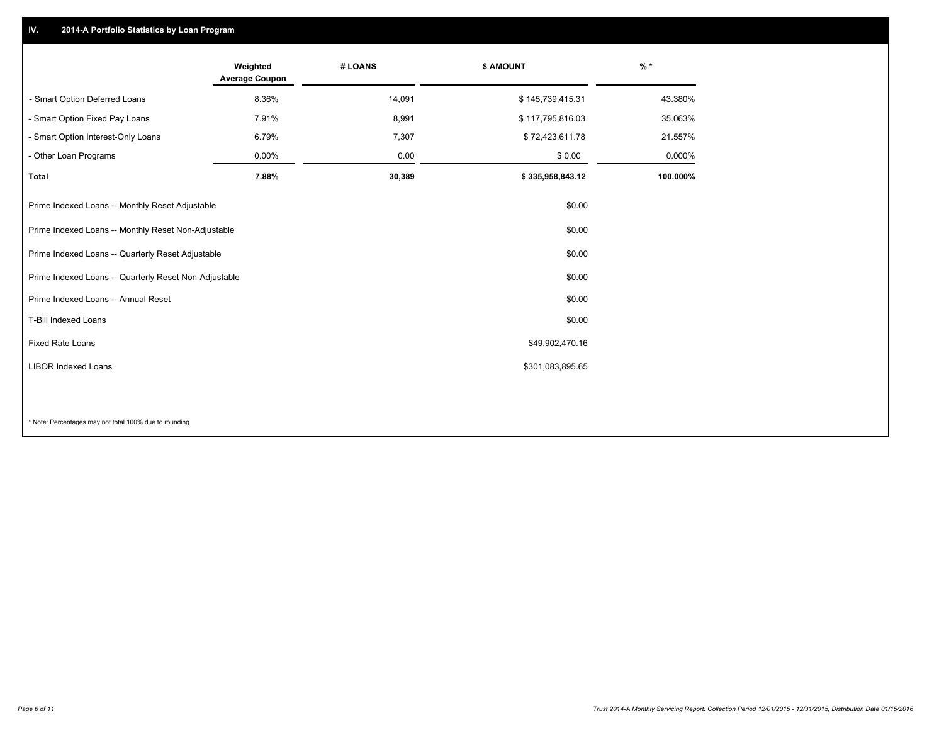## **IV. 2014-A Portfolio Statistics by Loan Program**

|                                                       | Weighted<br><b>Average Coupon</b> | # LOANS | \$ AMOUNT        | $%$ *    |
|-------------------------------------------------------|-----------------------------------|---------|------------------|----------|
| - Smart Option Deferred Loans                         | 8.36%                             | 14,091  | \$145,739,415.31 | 43.380%  |
| - Smart Option Fixed Pay Loans                        | 7.91%                             | 8,991   | \$117,795,816.03 | 35.063%  |
| - Smart Option Interest-Only Loans                    | 6.79%                             | 7,307   | \$72,423,611.78  | 21.557%  |
| - Other Loan Programs                                 | 0.00%                             | 0.00    | \$0.00           | 0.000%   |
| <b>Total</b>                                          | 7.88%                             | 30,389  | \$335,958,843.12 | 100.000% |
| Prime Indexed Loans -- Monthly Reset Adjustable       |                                   |         | \$0.00           |          |
| Prime Indexed Loans -- Monthly Reset Non-Adjustable   |                                   |         | \$0.00           |          |
| Prime Indexed Loans -- Quarterly Reset Adjustable     |                                   |         | \$0.00           |          |
| Prime Indexed Loans -- Quarterly Reset Non-Adjustable |                                   |         | \$0.00           |          |
| Prime Indexed Loans -- Annual Reset                   |                                   |         | \$0.00           |          |
| T-Bill Indexed Loans                                  |                                   |         | \$0.00           |          |
| Fixed Rate Loans                                      |                                   |         | \$49,902,470.16  |          |
| <b>LIBOR Indexed Loans</b>                            |                                   |         | \$301,083,895.65 |          |
|                                                       |                                   |         |                  |          |

\* Note: Percentages may not total 100% due to rounding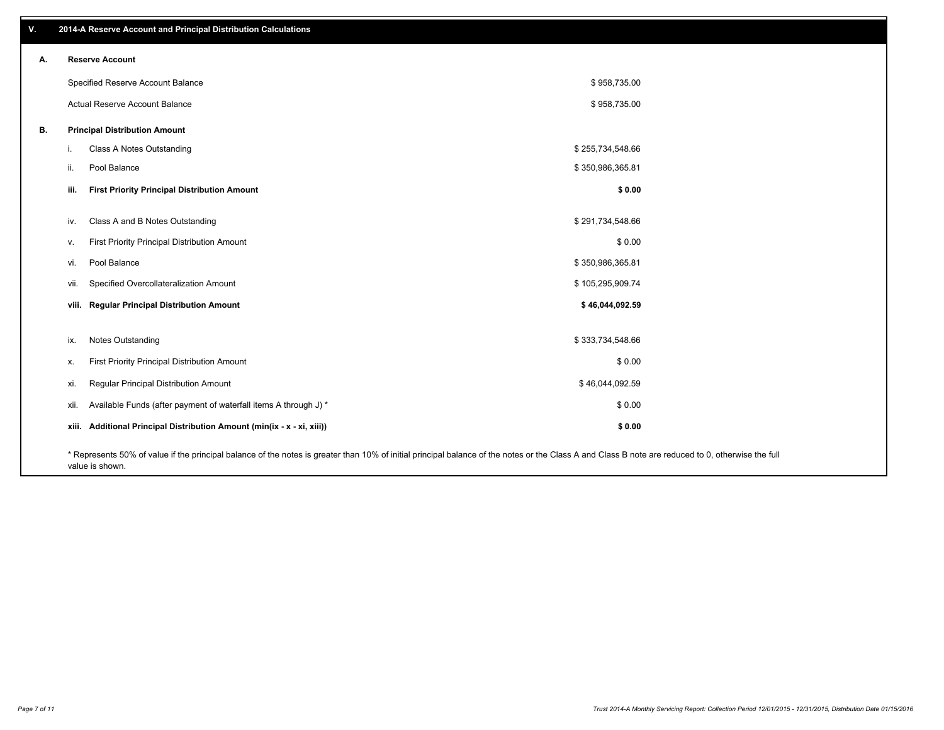| V. |       | 2014-A Reserve Account and Principal Distribution Calculations                                                                                                                                                        |                  |  |
|----|-------|-----------------------------------------------------------------------------------------------------------------------------------------------------------------------------------------------------------------------|------------------|--|
| А. |       | <b>Reserve Account</b>                                                                                                                                                                                                |                  |  |
|    |       | Specified Reserve Account Balance                                                                                                                                                                                     | \$958,735.00     |  |
|    |       | Actual Reserve Account Balance                                                                                                                                                                                        | \$958,735.00     |  |
| В. |       | <b>Principal Distribution Amount</b>                                                                                                                                                                                  |                  |  |
|    | j.    | Class A Notes Outstanding                                                                                                                                                                                             | \$255,734,548.66 |  |
|    | ii.   | Pool Balance                                                                                                                                                                                                          | \$350,986,365.81 |  |
|    | iii.  | <b>First Priority Principal Distribution Amount</b>                                                                                                                                                                   | \$0.00           |  |
|    |       |                                                                                                                                                                                                                       |                  |  |
|    | iv.   | Class A and B Notes Outstanding                                                                                                                                                                                       | \$291,734,548.66 |  |
|    | v.    | First Priority Principal Distribution Amount                                                                                                                                                                          | \$0.00           |  |
|    | vi.   | Pool Balance                                                                                                                                                                                                          | \$350,986,365.81 |  |
|    | vii.  | Specified Overcollateralization Amount                                                                                                                                                                                | \$105,295,909.74 |  |
|    |       | viii. Regular Principal Distribution Amount                                                                                                                                                                           | \$46,044,092.59  |  |
|    |       |                                                                                                                                                                                                                       |                  |  |
|    | ix.   | Notes Outstanding                                                                                                                                                                                                     | \$333,734,548.66 |  |
|    | х.    | First Priority Principal Distribution Amount                                                                                                                                                                          | \$0.00           |  |
|    | xi.   | Regular Principal Distribution Amount                                                                                                                                                                                 | \$46,044,092.59  |  |
|    | xii.  | Available Funds (after payment of waterfall items A through J) *                                                                                                                                                      | \$0.00           |  |
|    | xiii. | Additional Principal Distribution Amount (min(ix - x - xi, xiii))                                                                                                                                                     | \$0.00           |  |
|    |       | * Represents 50% of value if the principal balance of the notes is greater than 10% of initial principal balance of the notes or the Class A and Class B note are reduced to 0, otherwise the full<br>value is shown. |                  |  |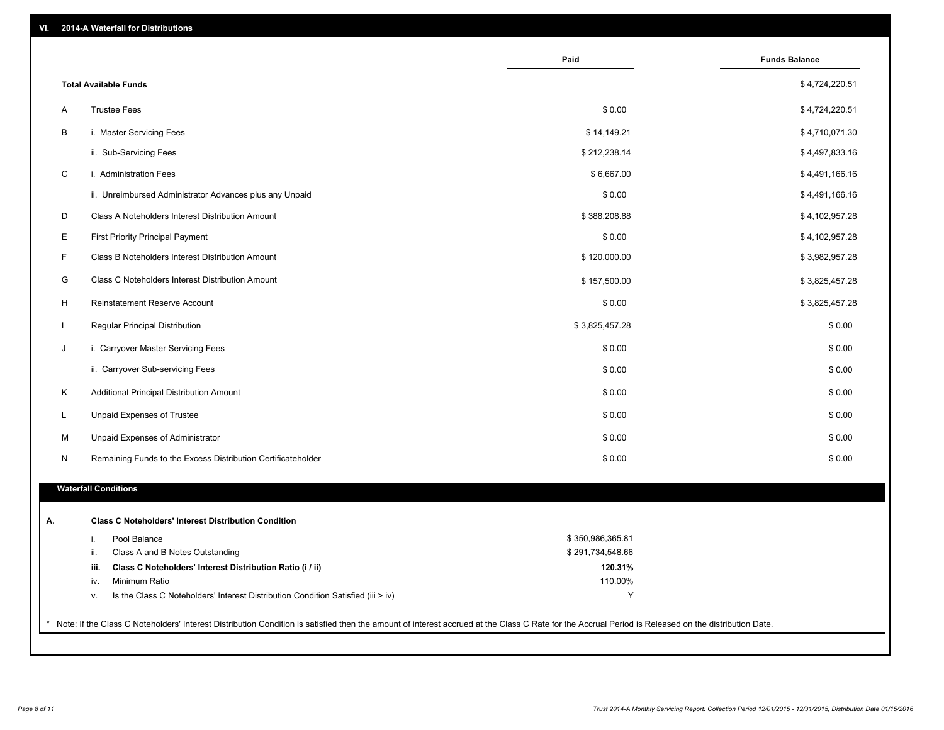| VI. | 2014-A Waterfall for Distributions |  |
|-----|------------------------------------|--|
|-----|------------------------------------|--|

|                                                                                        | Paid             | <b>Funds Balance</b> |
|----------------------------------------------------------------------------------------|------------------|----------------------|
| <b>Total Available Funds</b>                                                           |                  | \$4,724,220.51       |
| <b>Trustee Fees</b><br>Α                                                               | \$0.00           | \$4,724,220.51       |
| B<br>i. Master Servicing Fees                                                          | \$14,149.21      | \$4,710,071.30       |
| ii. Sub-Servicing Fees                                                                 | \$212,238.14     | \$4,497,833.16       |
| $\mathsf C$<br>i. Administration Fees                                                  | \$6,667.00       | \$4,491,166.16       |
| ii. Unreimbursed Administrator Advances plus any Unpaid                                | \$0.00           | \$4,491,166.16       |
| Class A Noteholders Interest Distribution Amount                                       | \$388,208.88     | \$4,102,957.28       |
| <b>First Priority Principal Payment</b>                                                | \$0.00           | \$4,102,957.28       |
| F.<br>Class B Noteholders Interest Distribution Amount                                 | \$120,000.00     | \$3,982,957.28       |
| G<br>Class C Noteholders Interest Distribution Amount                                  | \$157,500.00     | \$3,825,457.28       |
| H<br>Reinstatement Reserve Account                                                     | \$0.00           | \$3,825,457.28       |
| Regular Principal Distribution                                                         | \$3,825,457.28   | \$0.00               |
| i. Carryover Master Servicing Fees                                                     | \$0.00           | \$0.00               |
| ii. Carryover Sub-servicing Fees                                                       | \$0.00           | \$0.00               |
| Κ<br>Additional Principal Distribution Amount                                          | \$0.00           | \$0.00               |
| L<br>Unpaid Expenses of Trustee                                                        | \$0.00           | \$0.00               |
|                                                                                        |                  |                      |
| M<br>Unpaid Expenses of Administrator                                                  | \$0.00           | \$0.00               |
| N<br>Remaining Funds to the Excess Distribution Certificateholder                      | \$0.00           | \$0.00               |
| <b>Waterfall Conditions</b>                                                            |                  |                      |
| <b>Class C Noteholders' Interest Distribution Condition</b>                            |                  |                      |
| Pool Balance<br>i.                                                                     | \$350,986,365.81 |                      |
| ii.<br>Class A and B Notes Outstanding                                                 | \$291,734,548.66 |                      |
| Class C Noteholders' Interest Distribution Ratio (i / ii)<br>iii.                      | 120.31%          |                      |
| Minimum Ratio<br>iv.                                                                   | 110.00%          |                      |
| Is the Class C Noteholders' Interest Distribution Condition Satisfied (iii > iv)<br>۷. | Y                |                      |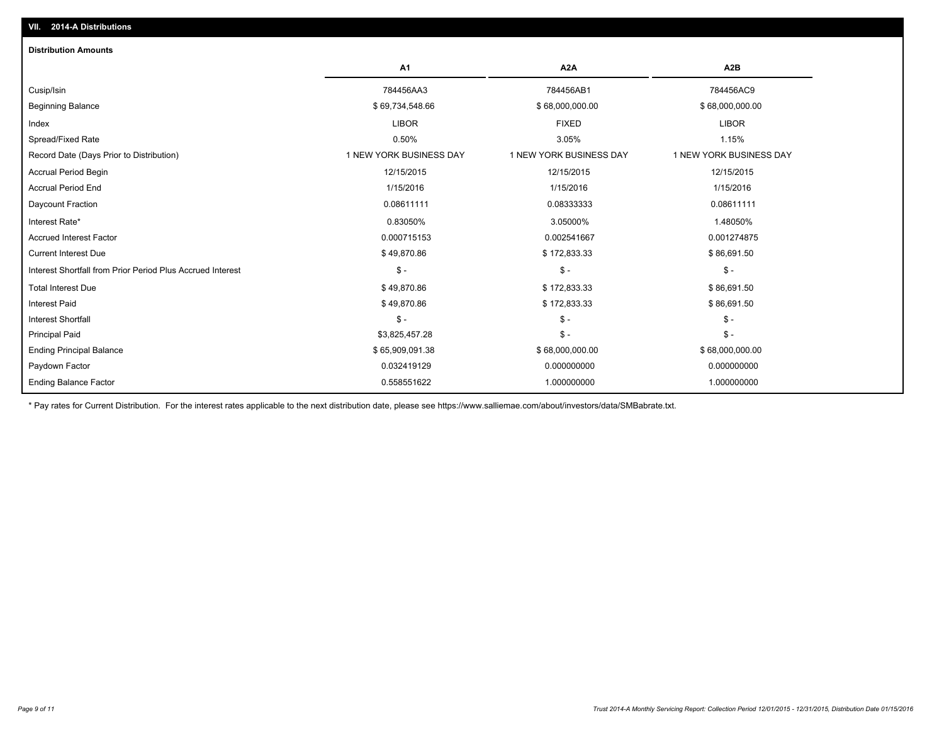| <b>Distribution Amounts</b>                                |                         |                         |                         |
|------------------------------------------------------------|-------------------------|-------------------------|-------------------------|
|                                                            | A <sub>1</sub>          | A <sub>2</sub> A        | A <sub>2</sub> B        |
| Cusip/Isin                                                 | 784456AA3               | 784456AB1               | 784456AC9               |
| <b>Beginning Balance</b>                                   | \$69,734,548.66         | \$68,000,000.00         | \$68,000,000.00         |
| Index                                                      | <b>LIBOR</b>            | <b>FIXED</b>            | <b>LIBOR</b>            |
| Spread/Fixed Rate                                          | 0.50%                   | 3.05%                   | 1.15%                   |
| Record Date (Days Prior to Distribution)                   | 1 NEW YORK BUSINESS DAY | 1 NEW YORK BUSINESS DAY | 1 NEW YORK BUSINESS DAY |
| <b>Accrual Period Begin</b>                                | 12/15/2015              | 12/15/2015              | 12/15/2015              |
| <b>Accrual Period End</b>                                  | 1/15/2016               | 1/15/2016               | 1/15/2016               |
| Daycount Fraction                                          | 0.08611111              | 0.08333333              | 0.08611111              |
| Interest Rate*                                             | 0.83050%                | 3.05000%                | 1.48050%                |
| <b>Accrued Interest Factor</b>                             | 0.000715153             | 0.002541667             | 0.001274875             |
| <b>Current Interest Due</b>                                | \$49,870.86             | \$172,833.33            | \$86,691.50             |
| Interest Shortfall from Prior Period Plus Accrued Interest | $\frac{2}{3}$ -         | $\mathsf{\$}$ -         | $\mathcal{S}$ -         |
| <b>Total Interest Due</b>                                  | \$49,870.86             | \$172,833.33            | \$86,691.50             |
| <b>Interest Paid</b>                                       | \$49,870.86             | \$172,833.33            | \$86,691.50             |
| <b>Interest Shortfall</b>                                  | $\mathsf{\$}$ -         | $\mathsf{\$}$ -         | $\mathsf{\$}$ -         |
| <b>Principal Paid</b>                                      | \$3,825,457.28          | $\mathsf{\$}$ -         | $\mathsf{\$}$ -         |
| <b>Ending Principal Balance</b>                            | \$65,909,091.38         | \$68,000,000.00         | \$68,000,000.00         |
| Paydown Factor                                             | 0.032419129             | 0.000000000             | 0.000000000             |
| <b>Ending Balance Factor</b>                               | 0.558551622             | 1.000000000             | 1.000000000             |

\* Pay rates for Current Distribution. For the interest rates applicable to the next distribution date, please see https://www.salliemae.com/about/investors/data/SMBabrate.txt.

**VII. 2014-A Distributions**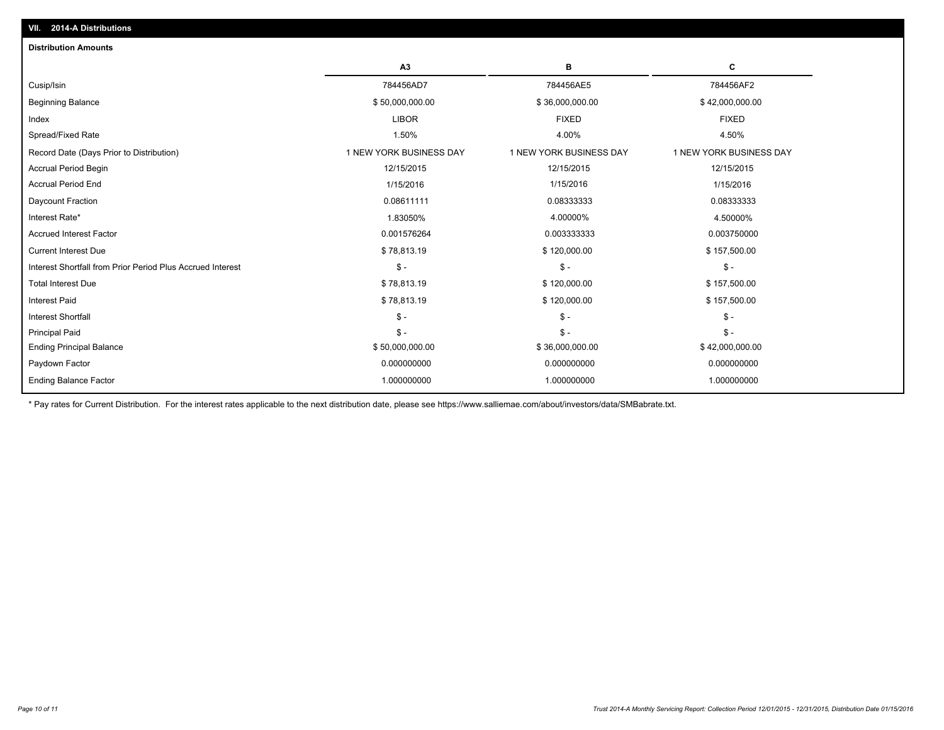| C<br>A3<br>в<br>784456AD7<br>784456AE5<br>784456AF2<br>\$50,000,000.00<br>\$36,000,000.00<br>\$42,000,000.00<br><b>LIBOR</b><br><b>FIXED</b><br><b>FIXED</b><br>1.50%<br>4.00%<br>4.50%<br>1 NEW YORK BUSINESS DAY<br>1 NEW YORK BUSINESS DAY<br>1 NEW YORK BUSINESS DAY<br>12/15/2015<br>12/15/2015<br>12/15/2015<br>1/15/2016<br>1/15/2016<br>1/15/2016<br>0.08611111<br>0.08333333<br>0.08333333<br>1.83050%<br>4.00000%<br>4.50000%<br>0.001576264<br>0.003750000<br>0.003333333<br>\$78,813.19<br>\$120,000.00<br>\$157,500.00<br>$\mathbb{S}$ -<br>$\mathcal{S}$ -<br>$\mathsf{\$}$ -<br>\$78,813.19<br>\$120,000.00<br>\$157,500.00<br>\$120,000.00<br>\$78,813.19<br>\$157,500.00<br>$\mathbb{S}$ -<br>$\mathsf{\$}$ -<br>$\mathsf{\$}$ -<br>$\mathsf{\$}$ -<br>$\mathsf{\$}$ -<br>$\mathsf{\$}$ -<br>\$50,000,000.00<br>\$36,000,000.00<br>\$42,000,000.00<br>0.000000000<br>0.000000000<br>0.000000000 | <b>Distribution Amounts</b>                                |  |  |
|------------------------------------------------------------------------------------------------------------------------------------------------------------------------------------------------------------------------------------------------------------------------------------------------------------------------------------------------------------------------------------------------------------------------------------------------------------------------------------------------------------------------------------------------------------------------------------------------------------------------------------------------------------------------------------------------------------------------------------------------------------------------------------------------------------------------------------------------------------------------------------------------------------------|------------------------------------------------------------|--|--|
|                                                                                                                                                                                                                                                                                                                                                                                                                                                                                                                                                                                                                                                                                                                                                                                                                                                                                                                  |                                                            |  |  |
|                                                                                                                                                                                                                                                                                                                                                                                                                                                                                                                                                                                                                                                                                                                                                                                                                                                                                                                  | Cusip/Isin                                                 |  |  |
|                                                                                                                                                                                                                                                                                                                                                                                                                                                                                                                                                                                                                                                                                                                                                                                                                                                                                                                  | <b>Beginning Balance</b>                                   |  |  |
|                                                                                                                                                                                                                                                                                                                                                                                                                                                                                                                                                                                                                                                                                                                                                                                                                                                                                                                  | Index                                                      |  |  |
|                                                                                                                                                                                                                                                                                                                                                                                                                                                                                                                                                                                                                                                                                                                                                                                                                                                                                                                  | Spread/Fixed Rate                                          |  |  |
|                                                                                                                                                                                                                                                                                                                                                                                                                                                                                                                                                                                                                                                                                                                                                                                                                                                                                                                  | Record Date (Days Prior to Distribution)                   |  |  |
|                                                                                                                                                                                                                                                                                                                                                                                                                                                                                                                                                                                                                                                                                                                                                                                                                                                                                                                  | <b>Accrual Period Begin</b>                                |  |  |
|                                                                                                                                                                                                                                                                                                                                                                                                                                                                                                                                                                                                                                                                                                                                                                                                                                                                                                                  | <b>Accrual Period End</b>                                  |  |  |
|                                                                                                                                                                                                                                                                                                                                                                                                                                                                                                                                                                                                                                                                                                                                                                                                                                                                                                                  | Daycount Fraction                                          |  |  |
|                                                                                                                                                                                                                                                                                                                                                                                                                                                                                                                                                                                                                                                                                                                                                                                                                                                                                                                  | Interest Rate*                                             |  |  |
|                                                                                                                                                                                                                                                                                                                                                                                                                                                                                                                                                                                                                                                                                                                                                                                                                                                                                                                  | <b>Accrued Interest Factor</b>                             |  |  |
|                                                                                                                                                                                                                                                                                                                                                                                                                                                                                                                                                                                                                                                                                                                                                                                                                                                                                                                  | <b>Current Interest Due</b>                                |  |  |
|                                                                                                                                                                                                                                                                                                                                                                                                                                                                                                                                                                                                                                                                                                                                                                                                                                                                                                                  | Interest Shortfall from Prior Period Plus Accrued Interest |  |  |
|                                                                                                                                                                                                                                                                                                                                                                                                                                                                                                                                                                                                                                                                                                                                                                                                                                                                                                                  | <b>Total Interest Due</b>                                  |  |  |
|                                                                                                                                                                                                                                                                                                                                                                                                                                                                                                                                                                                                                                                                                                                                                                                                                                                                                                                  | <b>Interest Paid</b>                                       |  |  |
|                                                                                                                                                                                                                                                                                                                                                                                                                                                                                                                                                                                                                                                                                                                                                                                                                                                                                                                  | <b>Interest Shortfall</b>                                  |  |  |
|                                                                                                                                                                                                                                                                                                                                                                                                                                                                                                                                                                                                                                                                                                                                                                                                                                                                                                                  | <b>Principal Paid</b>                                      |  |  |
|                                                                                                                                                                                                                                                                                                                                                                                                                                                                                                                                                                                                                                                                                                                                                                                                                                                                                                                  | <b>Ending Principal Balance</b>                            |  |  |
|                                                                                                                                                                                                                                                                                                                                                                                                                                                                                                                                                                                                                                                                                                                                                                                                                                                                                                                  | Paydown Factor                                             |  |  |
| 1.000000000<br>1.000000000<br>1.000000000                                                                                                                                                                                                                                                                                                                                                                                                                                                                                                                                                                                                                                                                                                                                                                                                                                                                        | <b>Ending Balance Factor</b>                               |  |  |

\* Pay rates for Current Distribution. For the interest rates applicable to the next distribution date, please see https://www.salliemae.com/about/investors/data/SMBabrate.txt.

**VII. 2014-A Distributions**